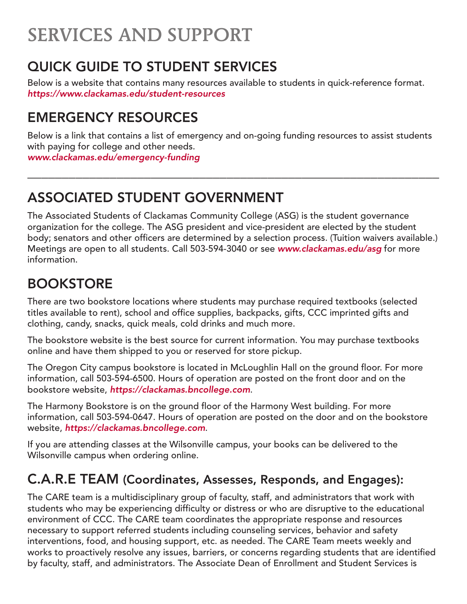# SERVICES AND SUPPORT

## QUICK GUIDE TO STUDENT SERVICES

Below is a website that contains many resources available to students in quick-reference format. *https://www.clackamas.edu/student-resources*

## EMERGENCY RESOURCES

Below is a link that contains a list of emergency and on-going funding resources to assist students with paying for college and other needs. *[www.clackamas.edu/emergency-funding](http://www.clackamas.edu/emergency-funding)*

\_\_\_\_\_\_\_\_\_\_\_\_\_\_\_\_\_\_\_\_\_\_\_\_\_\_\_\_\_\_\_\_\_\_\_\_\_\_\_\_\_\_\_\_\_\_\_\_\_\_\_\_\_\_\_\_\_\_\_\_

## ASSOCIATED STUDENT GOVERNMENT

The Associated Students of Clackamas Community College (ASG) is the student governance organization for the college. The ASG president and vice-president are elected by the student body; senators and other officers are determined by a selection process. (Tuition waivers available.) Meetings are open to all students. Call 503-594-3040 or see *www.clackamas.edu/asg* for more information.

### BOOKSTORE

There are two bookstore locations where students may purchase required textbooks (selected titles available to rent), school and office supplies, backpacks, gifts, CCC imprinted gifts and clothing, candy, snacks, quick meals, cold drinks and much more.

The bookstore website is the best source for current information. You may purchase textbooks online and have them shipped to you or reserved for store pickup.

The Oregon City campus bookstore is located in McLoughlin Hall on the ground floor. For more information, call 503-594-6500. Hours of operation are posted on the front door and on the bookstore website, *https://clackamas.bncollege.com*.

The Harmony Bookstore is on the ground floor of the Harmony West building. For more information, call 503-594-0647. Hours of operation are posted on the door and on the bookstore website, *https://clackamas.bncollege.com*.

If you are attending classes at the Wilsonville campus, your books can be delivered to the Wilsonville campus when ordering online.

### C.A.R.E TEAM (Coordinates, Assesses, Responds, and Engages):

The CARE team is a multidisciplinary group of faculty, staff, and administrators that work with students who may be experiencing difficulty or distress or who are disruptive to the educational environment of CCC. The CARE team coordinates the appropriate response and resources necessary to support referred students including counseling services, behavior and safety interventions, food, and housing support, etc. as needed. The CARE Team meets weekly and works to proactively resolve any issues, barriers, or concerns regarding students that are identified by faculty, staff, and administrators. The Associate Dean of Enrollment and Student Services is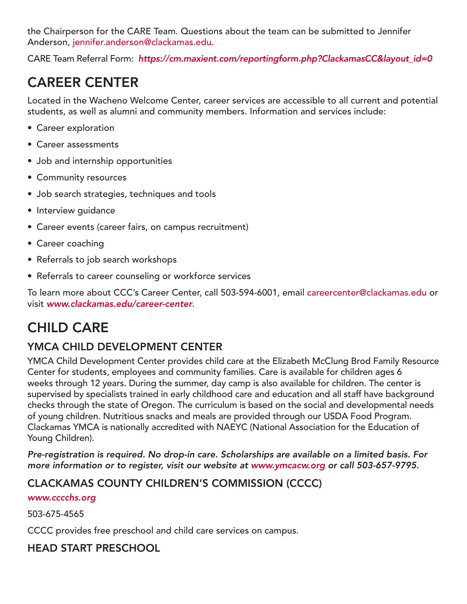the Chairperson for the CARE Team. Questions about the team can be submitted to Jennifer Anderson, [jennifer.anderson@clackamas.edu](mailto:jennifer.anderson@clackamas.edu).

CARE Team Referral Form: *[https://cm.maxient.com/reportingform.php?ClackamasCC&layout\\_id=0](https://cm.maxient.com/reportingform.php?ClackamasCC&layout_id=0)*

## CAREER CENTER

Located in the Wacheno Welcome Center, career services are accessible to all current and potential students, as well as alumni and community members. Information and services include:

- Career exploration
- Career assessments
- Job and internship opportunities
- Community resources
- Job search strategies, techniques and tools
- Interview guidance
- Career events (career fairs, on campus recruitment)
- Career coaching
- Referrals to job search workshops
- Referrals to career counseling or workforce services

To learn more about CCC's Career Center, call 503-594-6001, email careercenter@clackamas.edu or visit *[www.clackamas.edu/career-center](http://www.clackamas.edu/campus-life/career-center)*.

## CHILD CARE

### YMCA CHILD DEVELOPMENT CENTER

YMCA Child Development Center provides child care at the Elizabeth McClung Brod Family Resource Center for students, employees and community families. Care is available for children ages 6 weeks through 12 years. During the summer, day camp is also available for children. The center is supervised by specialists trained in early childhood care and education and all staff have background checks through the state of Oregon. The curriculum is based on the social and developmental needs of young children. Nutritious snacks and meals are provided through our USDA Food Program. Clackamas YMCA is nationally accredited with NAEYC (National Association for the Education of Young Children).

*Pre-registration is required. No drop-in care. Scholarships are available on a limited basis. For more information or to register, visit our website at www.ymcacw.org or call 503-657-9795.*

### CLACKAMAS COUNTY CHILDREN'S COMMISSION (CCCC)

#### *www.cccchs.org*

503-675-4565

CCCC provides free preschool and child care services on campus.

### HEAD START PRESCHOOL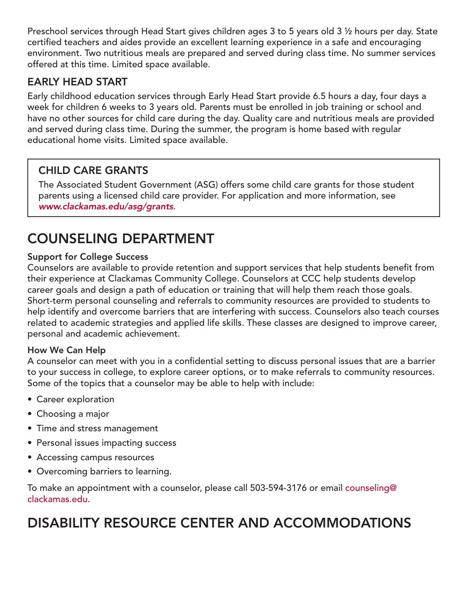Preschool services through Head Start gives children ages 3 to 5 years old 3 ½ hours per day. State certified teachers and aides provide an excellent learning experience in a safe and encouraging environment. Two nutritious meals are prepared and served during class time. No summer services offered at this time. Limited space available.

### EARLY HEAD START

Early childhood education services through Early Head Start provide 6.5 hours a day, four days a week for children 6 weeks to 3 years old. Parents must be enrolled in job training or school and have no other sources for child care during the day. Quality care and nutritious meals are provided and served during class time. During the summer, the program is home based with regular educational home visits. Limited space available.

### CHILD CARE GRANTS

The Associated Student Government (ASG) offers some child care grants for those student parents using a licensed child care provider. For application and more information, see *[www.clackamas.edu/asg/grants](http://www.clackamas.edu/admissions-financial-aid/financial-aid-scholarships/associated-student-government-grants)*.

## COUNSELING DEPARTMENT

#### Support for College Success

Counselors are available to provide retention and support services that help students benefit from their experience at Clackamas Community College. Counselors at CCC help students develop career goals and design a path of education or training that will help them reach those goals. Short-term personal counseling and referrals to community resources are provided to students to help identify and overcome barriers that are interfering with success. Counselors also teach courses related to academic strategies and applied life skills. These classes are designed to improve career, personal and academic achievement.

#### How We Can Help

A counselor can meet with you in a confidential setting to discuss personal issues that are a barrier to your success in college, to explore career options, or to make referrals to community resources. Some of the topics that a counselor may be able to help with include:

- Career exploration
- Choosing a major
- Time and stress management
- Personal issues impacting success
- Accessing campus resources
- Overcoming barriers to learning.

To make an appointment with a counselor, please call 503-594-3176 or email counseling@ clackamas.edu.

## DISABILITY RESOURCE CENTER AND ACCOMMODATIONS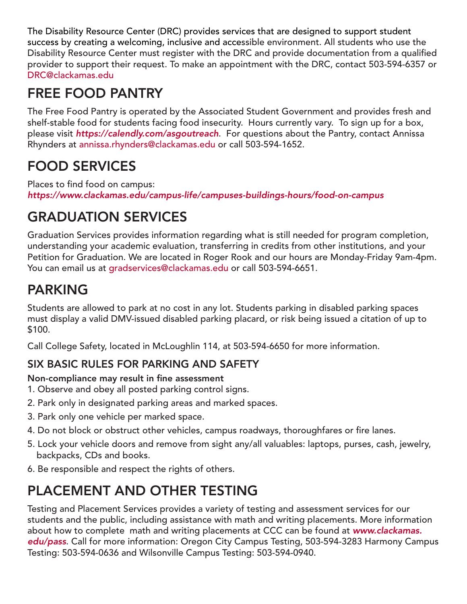The Disability Resource Center (DRC) provides services that are designed to support student success by creating a welcoming, inclusive and accessible environment. All students who use the Disability Resource Center must register with the DRC and provide documentation from a qualified provider to support their request. To make an appointment with the DRC, contact 503-594-6357 or [DRC@clackamas.edu](mailto:DRC@clackamas.edu)

## FREE FOOD PANTRY

The Free Food Pantry is operated by the Associated Student Government and provides fresh and shelf-stable food for students facing food insecurity. Hours currently vary. To sign up for a box, please visit *<https://calendly.com/asgoutreach>*. For questions about the Pantry, contact Annissa Rhynders at annissa.rhynders@clackamas.edu or call 503-594-1652.

## FOOD SERVICES

Places to find food on campus: *<https://www.clackamas.edu/campus-life/campuses-buildings-hours/food-on-campus>*

# GRADUATION SERVICES

Graduation Services provides information regarding what is still needed for program completion, understanding your academic evaluation, transferring in credits from other institutions, and your Petition for Graduation. We are located in Roger Rook and our hours are Monday-Friday 9am-4pm. You can email us at [gradservices@clackamas.edu](mailto:gradservices@clackamas.edu) or call 503-594-6651.

## PARKING

Students are allowed to park at no cost in any lot. Students parking in disabled parking spaces must display a valid DMV-issued disabled parking placard, or risk being issued a citation of up to \$100.

Call College Safety, located in McLoughlin 114, at 503-594-6650 for more information.

### SIX BASIC RULES FOR PARKING AND SAFETY

### Non-compliance may result in fine assessment

- 1. Observe and obey all posted parking control signs.
- 2. Park only in designated parking areas and marked spaces.
- 3. Park only one vehicle per marked space.
- 4. Do not block or obstruct other vehicles, campus roadways, thoroughfares or fire lanes.
- 5. Lock your vehicle doors and remove from sight any/all valuables: laptops, purses, cash, jewelry, backpacks, CDs and books.
- 6. Be responsible and respect the rights of others.

# PLACEMENT AND OTHER TESTING

Testing and Placement Services provides a variety of testing and assessment services for our students and the public, including assistance with math and writing placements. More information about how to complete math and writing placements at CCC can be found at *www.clackamas. edu/pass*. Call for more information: Oregon City Campus Testing, 503-594-3283 Harmony Campus Testing: 503-594-0636 and Wilsonville Campus Testing: 503-594-0940.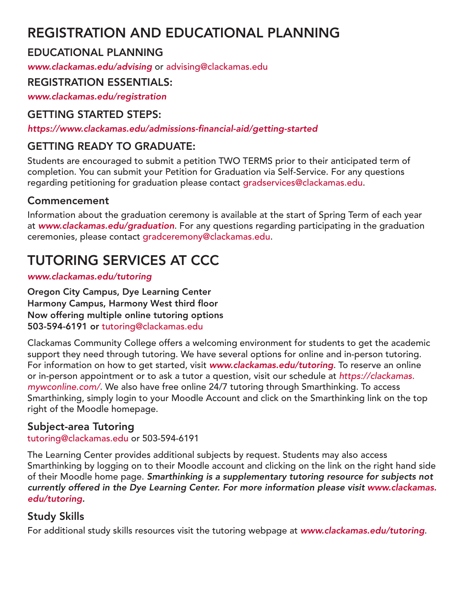## REGISTRATION AND EDUCATIONAL PLANNING

### EDUCATIONAL PLANNING

*ww[w.clackamas.edu/advising](http://depts.clackamas.edu/advising)* or [advising@clackamas.edu](mailto:advising@clackamas.edu)

### REGISTRATION ESSENTIALS:

*[www.clackamas.edu/registration](http://www.clackamas.edu/registration)*

### GETTING STARTED STEPS:

*<https://www.clackamas.edu/admissions-financial-aid/getting-started>*

### GETTING READY TO GRADUATE:

Students are encouraged to submit a petition TWO TERMS prior to their anticipated term of completion. You can submit your Petition for Graduation via Self-Service. For any questions regarding petitioning for graduation please contact [gradservices@clackamas.edu.](mailto:gradservices@clackamas.edu)

### Commencement

Information about the graduation ceremony is available at the start of Spring Term of each year at *[www.clackamas.edu/graduation](http://www.clackamas.edu/graduation)*. For any questions regarding participating in the graduation ceremonies, please contact [gradceremony@clackamas.edu](mailto:gradceremony@clackamas.edu).

# TUTORING SERVICES AT CCC

#### *[www.clackamas.edu/tutoring](http://www.clackamas.edu/academics/academic-support/tutoring-services)*

Oregon City Campus, Dye Learning Center Harmony Campus, Harmony West third floor Now offering multiple online tutoring options 503-594-6191 or tutoring@clackamas.edu

Clackamas Community College offers a welcoming environment for students to get the academic support they need through tutoring. We have several options for online and in-person tutoring. For information on how to get started, visit *www.clackamas.edu/tutoring*. To reserve an online or in-person appointment or to ask a tutor a question, visit our schedule at *[https://clackamas.](https://clackamas.mywconline.com/) [mywconline.com/](https://clackamas.mywconline.com/)*. We also have free online 24/7 tutoring through Smarthinking. To access Smarthinking, simply login to your Moodle Account and click on the Smarthinking link on the top right of the Moodle homepage.

### Subject-area Tutoring

tutoring@clackamas.edu or 503-594-6191

The Learning Center provides additional subjects by request. Students may also access Smarthinking by logging on to their Moodle account and clicking on the link on the right hand side of their Moodle home page. *Smarthinking is a supplementary tutoring resource for subjects not currently offered in the Dye Learning Center. For more information please visit [www.clackamas.](http://www.clackamas.edu/tutoring) [edu/tutoring.](http://www.clackamas.edu/tutoring)*

### Study Skills

For additional study skills resources visit the tutoring webpage at *[www.clackamas.edu/tutoring](http://www.clackamas.edu/tutoring)*.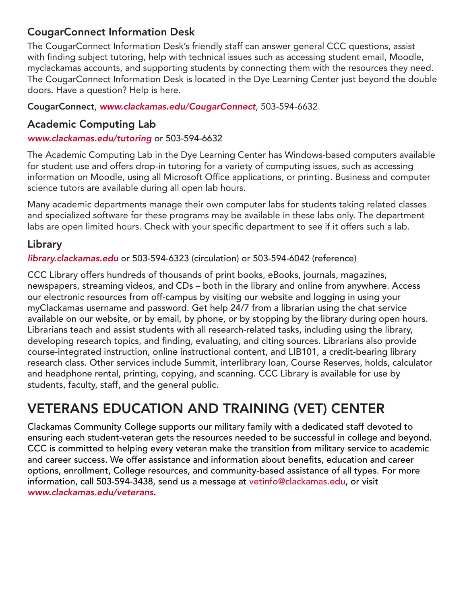#### CougarConnect Information Desk

The CougarConnect Information Desk's friendly staff can answer general CCC questions, assist with finding subject tutoring, help with technical issues such as accessing student email, Moodle, myclackamas accounts, and supporting students by connecting them with the resources they need. The CougarConnect Information Desk is located in the Dye Learning Center just beyond the double doors. Have a question? Help is here.

CougarConnect, *[www.clackamas.edu/CougarConnect](http://www.clackamas.edu/CougarConnect)*, 503-594-6632.

#### Academic Computing Lab

*www.clackamas.edu/tutoring* or 503-594-6632

The Academic Computing Lab in the Dye Learning Center has Windows-based computers available for student use and offers drop-in tutoring for a variety of computing issues, such as accessing information on Moodle, using all Microsoft Office applications, or printing. Business and computer science tutors are available during all open lab hours.

Many academic departments manage their own computer labs for students taking related classes and specialized software for these programs may be available in these labs only. The department labs are open limited hours. Check with your specific department to see if it offers such a lab.

### Library

*[library.clackamas.edu](http://library.clackamas.edu)* or 503-594-6323 (circulation) or 503-594-6042 (reference)

CCC Library offers hundreds of thousands of print books, eBooks, journals, magazines, newspapers, streaming videos, and CDs – both in the library and online from anywhere. Access our electronic resources from off-campus by visiting our website and logging in using your myClackamas username and password. Get help 24/7 from a librarian using the chat service available on our website, or by email, by phone, or by stopping by the library during open hours. Librarians teach and assist students with all research-related tasks, including using the library, developing research topics, and finding, evaluating, and citing sources. Librarians also provide course-integrated instruction, online instructional content, and LIB101, a credit-bearing library research class. Other services include Summit, interlibrary loan, Course Reserves, holds, calculator and headphone rental, printing, copying, and scanning. CCC Library is available for use by students, faculty, staff, and the general public.

## VETERANS EDUCATION AND TRAINING (VET) CENTER

Clackamas Community College supports our military family with a dedicated staff devoted to ensuring each student-veteran gets the resources needed to be successful in college and beyond. CCC is committed to helping every veteran make the transition from military service to academic and career success. We offer assistance and information about benefits, education and career options, enrollment, College resources, and community-based assistance of all types. For more information, call 503-594-3438, send us a message at [vetinfo@clackamas.edu](mailto:vetinfo@clackamas.edu), or visit *[www.clackamas.](www.clackamas.edu/veterans)edu/veterans.*